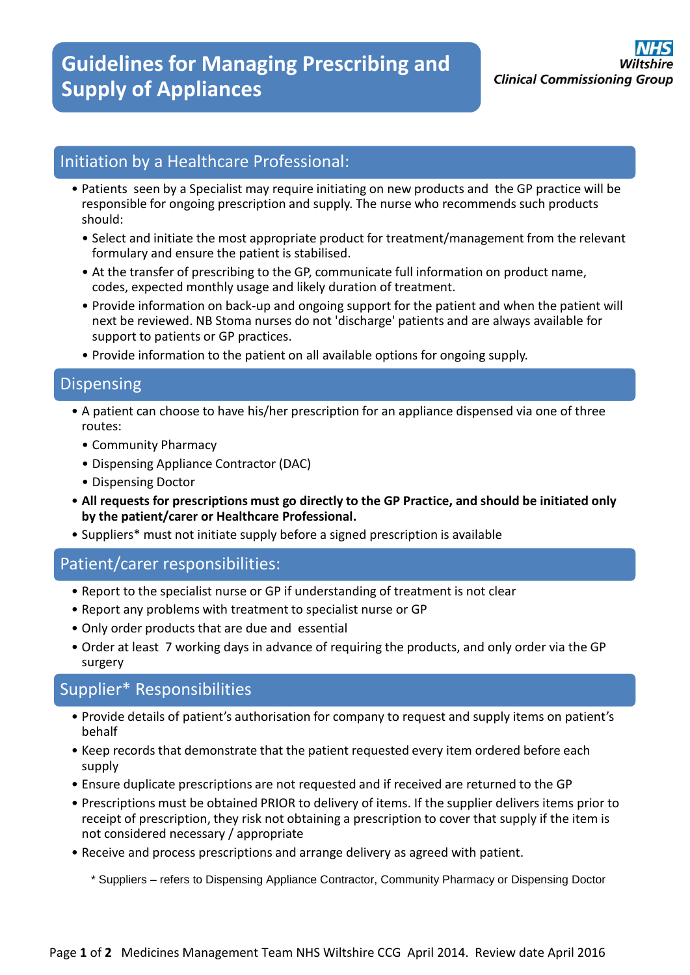# Initiation by a Healthcare Professional:

- Patients seen by a Specialist may require initiating on new products and the GP practice will be responsible for ongoing prescription and supply. The nurse who recommends such products should:
	- Select and initiate the most appropriate product for treatment/management from the relevant formulary and ensure the patient is stabilised.
	- At the transfer of prescribing to the GP, communicate full information on product name, codes, expected monthly usage and likely duration of treatment.
	- Provide information on back-up and ongoing support for the patient and when the patient will next be reviewed. NB Stoma nurses do not 'discharge' patients and are always available for support to patients or GP practices.
	- Provide information to the patient on all available options for ongoing supply.

#### Dispensing

- A patient can choose to have his/her prescription for an appliance dispensed via one of three routes:
	- Community Pharmacy
	- Dispensing Appliance Contractor (DAC)
	- Dispensing Doctor
- **All requests for prescriptions must go directly to the GP Practice, and should be initiated only by the patient/carer or Healthcare Professional.**
- Suppliers\* must not initiate supply before a signed prescription is available

## Patient/carer responsibilities:

- Report to the specialist nurse or GP if understanding of treatment is not clear
- Report any problems with treatment to specialist nurse or GP
- Only order products that are due and essential
- Order at least 7 working days in advance of requiring the products, and only order via the GP surgery

## Supplier\* Responsibilities

- Provide details of patient's authorisation for company to request and supply items on patient's behalf
- Keep records that demonstrate that the patient requested every item ordered before each supply
- Ensure duplicate prescriptions are not requested and if received are returned to the GP
- Prescriptions must be obtained PRIOR to delivery of items. If the supplier delivers items prior to receipt of prescription, they risk not obtaining a prescription to cover that supply if the item is not considered necessary / appropriate
- Receive and process prescriptions and arrange delivery as agreed with patient.

\* Suppliers – refers to Dispensing Appliance Contractor, Community Pharmacy or Dispensing Doctor